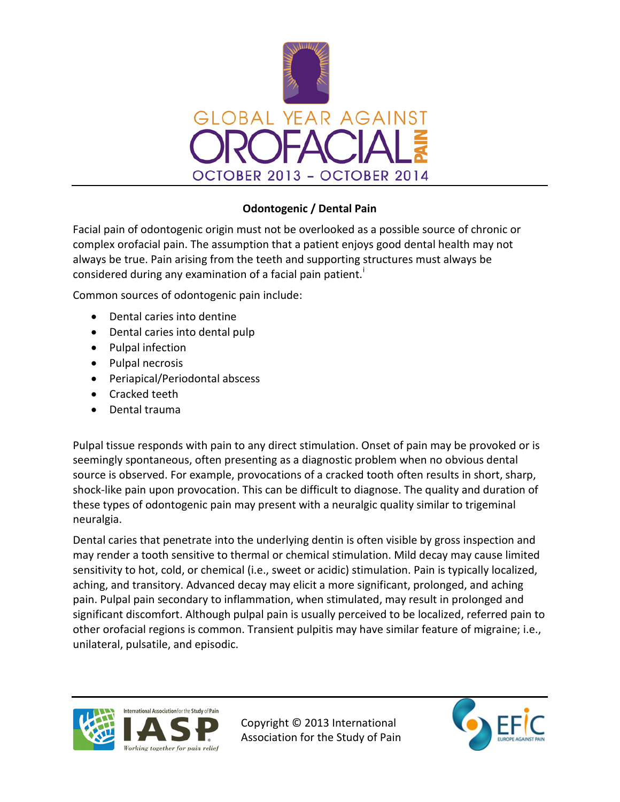

## **Odontogenic / Dental Pain**

Facial pain of odontogenic origin must not be overlooked as a possible source of chronic or complex orofacial pain. The assumption that a patient enjoys good dental health may not always be true. Pain arising from the teeth and supporting structures must always be cons[i](#page-1-0)dered during any examination of a facial pain patient.

Common sources of odontogenic pain include:

- Dental caries into dentine
- Dental caries into dental pulp
- Pulpal infection
- Pulpal necrosis
- Periapical/Periodontal abscess
- Cracked teeth
- Dental trauma

Pulpal tissue responds with pain to any direct stimulation. Onset of pain may be provoked or is seemingly spontaneous, often presenting as a diagnostic problem when no obvious dental source is observed. For example, provocations of a cracked tooth often results in short, sharp, shock-like pain upon provocation. This can be difficult to diagnose. The quality and duration of these types of odontogenic pain may present with a neuralgic quality similar to trigeminal neuralgia.

Dental caries that penetrate into the underlying dentin is often visible by gross inspection and may render a tooth sensitive to thermal or chemical stimulation. Mild decay may cause limited sensitivity to hot, cold, or chemical (i.e., sweet or acidic) stimulation. Pain is typically localized, aching, and transitory. Advanced decay may elicit a more significant, prolonged, and aching pain. Pulpal pain secondary to inflammation, when stimulated, may result in prolonged and significant discomfort. Although pulpal pain is usually perceived to be localized, referred pain to other orofacial regions is common. Transient pulpitis may have similar feature of migraine; i.e., unilateral, pulsatile, and episodic.



Copyright © 2013 International Association for the Study of Pain